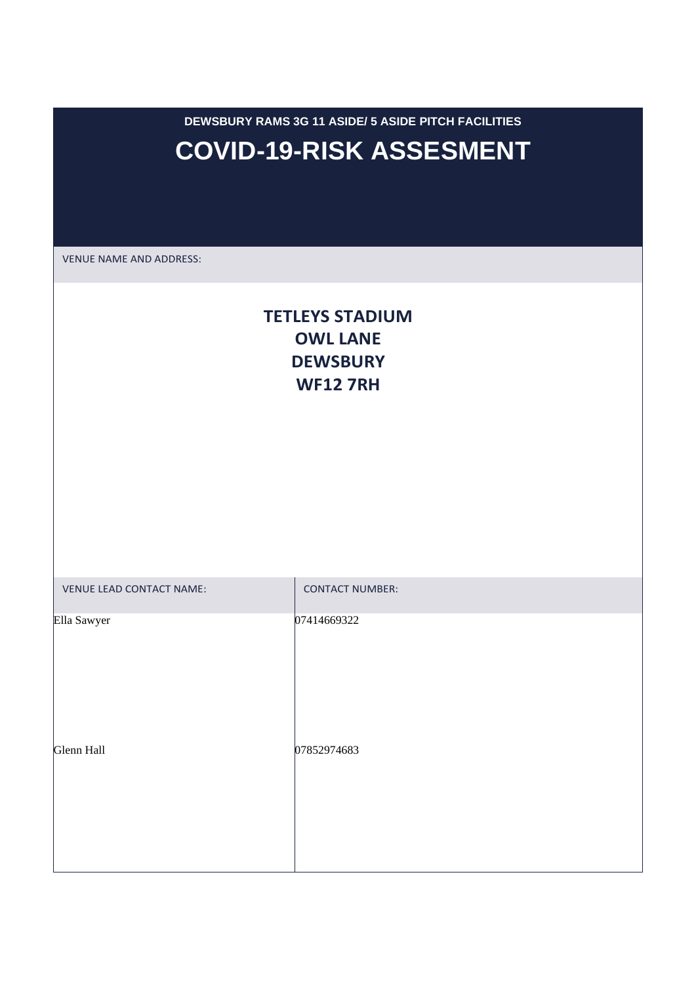**DEWSBURY RAMS 3G 11 ASIDE/ 5 ASIDE PITCH FACILITIES COVID-19-RISK ASSESMENT**

VENUE NAME AND ADDRESS:

## **TETLEYS STADIUM OWL LANE DEWSBURY WF12 7RH**

| VENUE LEAD CONTACT NAME: | <b>CONTACT NUMBER:</b> |
|--------------------------|------------------------|
| Ella Sawyer              | 07414669322            |
| Glenn Hall               | 07852974683            |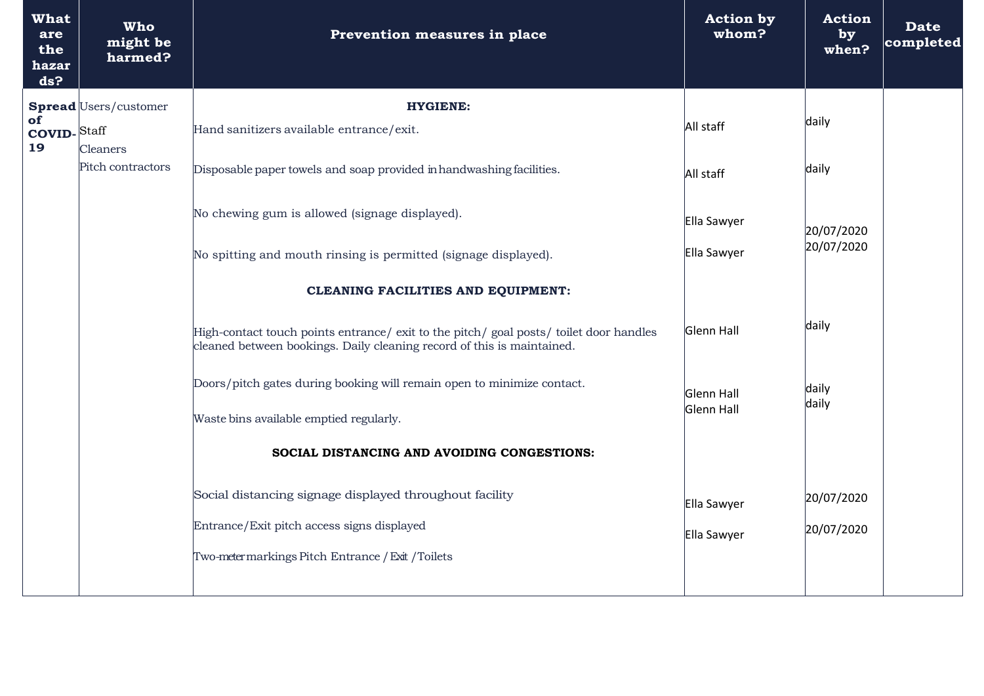| <b>What</b><br>are<br>the<br>hazar<br>ds? | <b>Who</b><br>might be<br>harmed?                                                                                 | Prevention measures in place                                                                                                                                     | <b>Action by</b><br>whom? | <b>Action</b><br>by<br>when? | <b>Date</b><br>completed |
|-------------------------------------------|-------------------------------------------------------------------------------------------------------------------|------------------------------------------------------------------------------------------------------------------------------------------------------------------|---------------------------|------------------------------|--------------------------|
| of<br><b>COVID-Staff</b><br>19            | Spread Users/customer                                                                                             | <b>HYGIENE:</b>                                                                                                                                                  |                           |                              |                          |
|                                           |                                                                                                                   | Hand sanitizers available entrance/exit.                                                                                                                         | All staff                 | daily                        |                          |
|                                           | <b>Cleaners</b><br>Pitch contractors                                                                              | Disposable paper towels and soap provided in handwashing facilities.                                                                                             | All staff                 | daily                        |                          |
|                                           | No chewing gum is allowed (signage displayed).<br>No spitting and mouth rinsing is permitted (signage displayed). |                                                                                                                                                                  | Ella Sawyer               | 20/07/2020<br>20/07/2020     |                          |
|                                           |                                                                                                                   |                                                                                                                                                                  | Ella Sawyer               |                              |                          |
|                                           |                                                                                                                   | <b>CLEANING FACILITIES AND EQUIPMENT:</b>                                                                                                                        |                           |                              |                          |
|                                           |                                                                                                                   | High-contact touch points entrance/ exit to the pitch/ goal posts/ toilet door handles<br>cleaned between bookings. Daily cleaning record of this is maintained. | Glenn Hall                | daily                        |                          |
|                                           |                                                                                                                   | Doors/pitch gates during booking will remain open to minimize contact.                                                                                           | Glenn Hall                | daily<br>daily               |                          |
|                                           |                                                                                                                   | Waste bins available emptied regularly.                                                                                                                          | Glenn Hall                |                              |                          |
|                                           |                                                                                                                   | SOCIAL DISTANCING AND AVOIDING CONGESTIONS:                                                                                                                      |                           |                              |                          |
|                                           |                                                                                                                   | Social distancing signage displayed throughout facility                                                                                                          | Ella Sawyer               | 20/07/2020                   |                          |
|                                           |                                                                                                                   | Entrance/Exit pitch access signs displayed                                                                                                                       | Ella Sawyer               | 20/07/2020                   |                          |
|                                           |                                                                                                                   | Two-meter markings Pitch Entrance / Exit / Toilets                                                                                                               |                           |                              |                          |
|                                           |                                                                                                                   |                                                                                                                                                                  |                           |                              |                          |